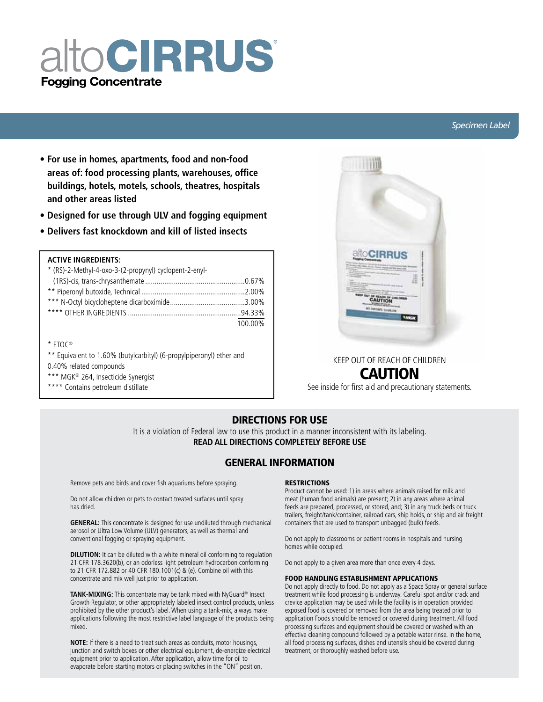# alto CIRRUS® **Fogging Concentrate**

#### *Specimen Label*

- **For use in homes, apartments, food and non-food areas of: food processing plants, warehouses, office buildings, hotels, motels, schools, theatres, hospitals and other areas listed**
- **Designed for use through ULV and fogging equipment**
- **Delivers fast knockdown and kill of listed insects**

#### **ACTIVE INGREDIENTS:**

| * (RS)-2-Methyl-4-oxo-3-(2-propynyl) cyclopent-2-enyl- |         |
|--------------------------------------------------------|---------|
|                                                        |         |
|                                                        |         |
|                                                        |         |
|                                                        |         |
|                                                        | 100.00% |
|                                                        |         |
| $*$ FTOC <sup>®</sup>                                  |         |

- \*\* Equivalent to 1.60% (butylcarbityl) (6-propylpiperonyl) ether and 0.40% related compounds
- \*\*\* MGK<sup>®</sup> 264, Insecticide Synergist
- \*\*\*\* Contains petroleum distillate



# KEEP OUT OF REACH OF CHILDREN CAUTION

See inside for first aid and precautionary statements.

## DIRECTIONS FOR USE

It is a violation of Federal law to use this product in a manner inconsistent with its labeling. **READ ALL DIRECTIONS COMPLETELY BEFORE USE**

### GENERAL INFORMATION

Remove pets and birds and cover fish aquariums before spraying.

Do not allow children or pets to contact treated surfaces until spray has dried.

**GENERAL:** This concentrate is designed for use undiluted through mechanical aerosol or Ultra Low Volume (ULV) generators, as well as thermal and conventional fogging or spraying equipment.

**DILUTION:** It can be diluted with a white mineral oil conforming to regulation 21 CFR 178.3620(b), or an odorless light petroleum hydrocarbon conforming to 21 CFR 172.882 or 40 CFR 180.1001(c) & (e). Combine oil with this concentrate and mix well just prior to application.

**Tank-mixing:** This concentrate may be tank mixed with NyGuard® Insect Growth Regulator, or other appropriately labeled insect control products, unless prohibited by the other product's label. When using a tank-mix, always make applications following the most restrictive label language of the products being mixed.

**NOTE:** If there is a need to treat such areas as conduits, motor housings, junction and switch boxes or other electrical equipment, de-energize electrical equipment prior to application. After application, allow time for oil to evaporate before starting motors or placing switches in the "ON" position.

#### **RESTRICTIONS**

Product cannot be used: 1) in areas where animals raised for milk and meat (human food animals) are present; 2) in any areas where animal feeds are prepared, processed, or stored, and; 3) in any truck beds or truck trailers, freight/tank/container, railroad cars, ship holds, or ship and air freight containers that are used to transport unbagged (bulk) feeds.

Do not apply to classrooms or patient rooms in hospitals and nursing homes while occupied.

Do not apply to a given area more than once every 4 days.

#### FOOD HANDLING ESTABLISHMENT APPLICATIONS

Do not apply directly to food. Do not apply as a Space Spray or general surface treatment while food processing is underway. Careful spot and/or crack and crevice application may be used while the facility is in operation provided exposed food is covered or removed from the area being treated prior to application Foods should be removed or covered during treatment. All food processing surfaces and equipment should be covered or washed with an effective cleaning compound followed by a potable water rinse. In the home, all food processing surfaces, dishes and utensils should be covered during treatment, or thoroughly washed before use.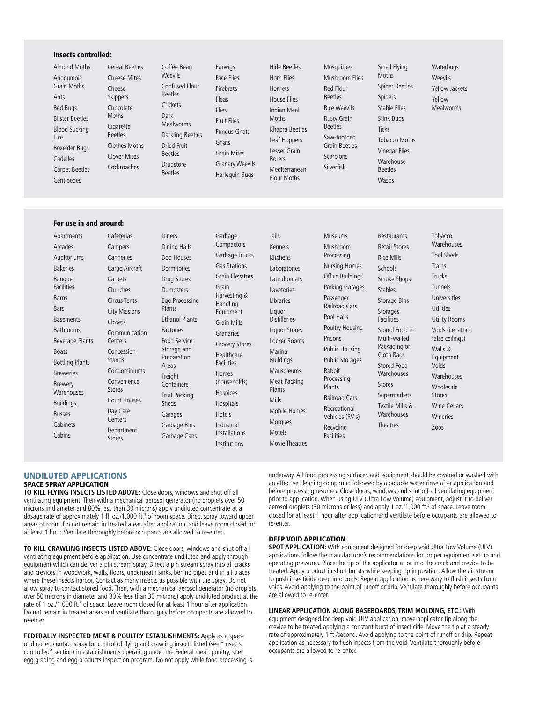#### Insects controlled:

Almond Moths Angoumois Grain Moths Ants Bed Bugs Blister Beetles Blood Sucking Lice Boxelder Bugs Cadelles Carpet Beetles **Centipedes** 

Cereal Beetles Cheese Mites Cheese Skippers Chocolate Cigarette Beetles Clothes Moths Clover Mites Cockroaches Coffee Bean Weevils Confused Flour Beetles **Crickets** Dark Mealworms Darkling Beetles Dried Fruit Beetles Drugstore Beetles

Moths

Cafeterias Campers Canneries

Carpets Churches Circus Tents

Concession

**Centers** Department Earwigs Face Flies Firebrats Fleas Flies Fruit Flies Fungus Gnats Gnats Grain Mites Granary Weevils Harlequin Bugs

Hide Beetles Horn Flies Hornets House Flies Indian Meal **Moths** Khapra Beetles Leaf Hoppers Lesser Grain Borers Mediterranean Flour Moths

Mosquitoes Mushroom Flies Red Flour Beetles Rice Weevils Rusty Grain Beetles Saw-toothed Grain Beetles Scorpions **Silverfish** 

Small Flying Moths Spider Beetles Spiders Stable Flies Stink Bugs Ticks Tobacco Moths Vinegar Flies Warehouse Beetles Wasps

**Waterbugs** Weevils Yellow Jackets Yellow Mealworms

#### For use in and around:

Apartments Arcades Auditoriums **Rakeries** Banquet Facilities Barns Bars **Basements Bathrooms** Beverage Plants Boats Bottling Plants Breweries Brewery Warehouses Buildings Busses Cabinets Cabins Closets Centers **Stands** Stores Day Care Stores

Cargo Aircraft City Missions Communication Condominiums Convenience Court Houses Diners Dining Halls Dog Houses Dormitories Drug Stores Dumpsters Egg Processing Plants Ethanol Plants Factories Food Service Storage and Preparation Areas Freight Containers Fruit Packing Sheds Garages Garbage Bins Garbage Cans

Garbage Compactors Garbage Trucks Gas Stations Grain Elevators Grain Harvesting & Handling Equipment Grain Mills Granaries Grocery Stores Healthcare Facilities Homes (households) Hospices Hospitals Hotels Industrial Installations Institutions

Jails Kennels Kitchens Laboratories Laundromats Lavatories Libraries Liquor Distilleries Liquor Stores Locker Rooms Marina Buildings Mausoleums Meat Packing Plants Mills Mobile Homes **Morgues** Motels Movie Theatres Museums Mushroom Processing Nursing Homes Office Buildings Parking Garages Passenger Railroad Cars Pool Halls Poultry Housing Prisons Public Housing Public Storages Rabbit Processing Plants Railroad Cars Recreational Vehicles (RV's) Recycling **Facilities** 

Restaurants Retail Stores Rice Mills Schools Smoke Shops Stables Storage Bins Storages **Facilities** Stored Food in Multi-walled Packaging or Cloth Bags Stored Food **Warehouses** Stores Supermarkets Textile Mills & **Warehouses Theatres** 

Tobacco **Warehouses** Tool Sheds Trains Trucks Tunnels Universities Utilities Utility Rooms Voids (i.e. attics, false ceilings) Walls & Equipment Voids **Warehouses** Wholesale Stores Wine Cellars Wineries Zoos

#### UNDILUTED APPLICATIONS SPACE SPRAY APPLICATION

**To Kill Flying Insects listed above:** Close doors, windows and shut off all ventilating equipment. Then with a mechanical aerosol generator (no droplets over 50 microns in diameter and 80% less than 30 microns) apply undiluted concentrate at a dosage rate of approximately 1 fl. oz./1,000 ft.<sup>3</sup> of room space. Direct spray toward upper areas of room. Do not remain in treated areas after application, and leave room closed for at least 1 hour. Ventilate thoroughly before occupants are allowed to re-enter.

**To kill Crawling Insects listed above:** Close doors, windows and shut off all ventilating equipment before application. Use concentrate undiluted and apply through equipment which can deliver a pin stream spray. Direct a pin stream spray into all cracks and crevices in woodwork, walls, floors, underneath sinks, behind pipes and in all places where these insects harbor. Contact as many insects as possible with the spray. Do not allow spray to contact stored food. Then, with a mechanical aerosol generator (no droplets over 50 microns in diameter and 80% less than 30 microns) apply undiluted product at the rate of 1 oz./1,000 ft.<sup>3</sup> of space. Leave room closed for at least 1 hour after application. Do not remain in treated areas and ventilate thoroughly before occupants are allowed to re-enter.

**FEDERALLY INSPECTED MEAT & POULTRY ESTABLISHMENTS:** Apply as a space or directed contact spray for control of flying and crawling insects listed (see "Insects controlled" section) in establishments operating under the Federal meat, poultry, shell egg grading and egg products inspection program. Do not apply while food processing is

underway. All food processing surfaces and equipment should be covered or washed with an effective cleaning compound followed by a potable water rinse after application and before processing resumes. Close doors, windows and shut off all ventilating equipment prior to application. When using ULV (Ultra Low Volume) equipment, adjust it to deliver aerosol droplets (30 microns or less) and apply 1 oz./1,000 ft.<sup>3</sup> of space. Leave room closed for at least 1 hour after application and ventilate before occupants are allowed to re-enter.

#### DEEP VOID APPLICATION

**SPOT APPLICATION:** With equipment designed for deep void Ultra Low Volume (ULV) applications follow the manufacturer's recommendations for proper equipment set up and operating pressures. Place the tip of the applicator at or into the crack and crevice to be treated. Apply product in short bursts while keeping tip in position. Allow the air stream to push insecticide deep into voids. Repeat application as necessary to flush insects from voids. Avoid applying to the point of runoff or drip. Ventilate thoroughly before occupants are allowed to re-enter.

#### **LINEAR APPLICATION ALONG BASEBOARDS, TRIM MOLDING, ETC.:** With

equipment designed for deep void ULV application, move applicator tip along the crevice to be treated applying a constant burst of insecticide. Move the tip at a steady rate of approximately 1 ft./second. Avoid applying to the point of runoff or drip. Repeat application as necessary to flush insects from the void. Ventilate thoroughly before occupants are allowed to re-enter.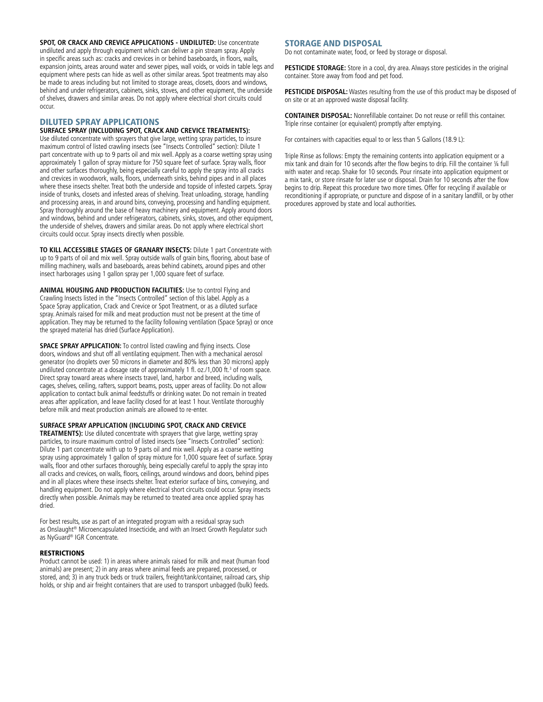**SPOT, OR CRACK AND CREVICE APPLICATIONS - UNDILUTED: Use concentrate** undiluted and apply through equipment which can deliver a pin stream spray. Apply in specific areas such as: cracks and crevices in or behind baseboards, in floors, walls, expansion joints, areas around water and sewer pipes, wall voids, or voids in table legs and equipment where pests can hide as well as other similar areas. Spot treatments may also be made to areas including but not limited to storage areas, closets, doors and windows, behind and under refrigerators, cabinets, sinks, stoves, and other equipment, the underside of shelves, drawers and similar areas. Do not apply where electrical short circuits could occur.

#### DILUTED SPRAY APPLICATIONS

#### **SURFACE SPRAY (Including Spot, Crack and Crevice Treatments):**

Use diluted concentrate with sprayers that give large, wetting spray particles, to insure maximum control of listed crawling insects (see "Insects Controlled" section): Dilute 1 part concentrate with up to 9 parts oil and mix well. Apply as a coarse wetting spray using approximately 1 gallon of spray mixture for 750 square feet of surface. Spray walls, floor and other surfaces thoroughly, being especially careful to apply the spray into all cracks and crevices in woodwork, walls, floors, underneath sinks, behind pipes and in all places where these insects shelter. Treat both the underside and topside of infested carpets. Spray inside of trunks, closets and infested areas of shelving. Treat unloading, storage, handling and processing areas, in and around bins, conveying, processing and handling equipment. Spray thoroughly around the base of heavy machinery and equipment. Apply around doors and windows, behind and under refrigerators, cabinets, sinks, stoves, and other equipment, the underside of shelves, drawers and similar areas. Do not apply where electrical short circuits could occur. Spray insects directly when possible.

**To Kill Accessible Stages of Granary Insects:** Dilute 1 part Concentrate with up to 9 parts of oil and mix well. Spray outside walls of grain bins, flooring, about base of milling machinery, walls and baseboards, areas behind cabinets, around pipes and other insect harborages using 1 gallon spray per 1,000 square feet of surface.

**ANIMAL HOUSING AND PRODUCTION FACILITIES:** Use to control Flying and Crawling Insects listed in the "Insects Controlled" section of this label. Apply as a Space Spray application, Crack and Crevice or Spot Treatment, or as a diluted surface spray. Animals raised for milk and meat production must not be present at the time of application. They may be returned to the facility following ventilation (Space Spray) or once the sprayed material has dried (Surface Application).

**SPACE SPRAY APPLICATION:** To control listed crawling and flying insects. Close doors, windows and shut off all ventilating equipment. Then with a mechanical aerosol generator (no droplets over 50 microns in diameter and 80% less than 30 microns) apply undiluted concentrate at a dosage rate of approximately 1 fl. oz./1,000 ft.<sup>3</sup> of room space. Direct spray toward areas where insects travel, land, harbor and breed, including walls, cages, shelves, ceiling, rafters, support beams, posts, upper areas of facility. Do not allow application to contact bulk animal feedstuffs or drinking water. Do not remain in treated areas after application, and leave facility closed for at least 1 hour. Ventilate thoroughly before milk and meat production animals are allowed to re-enter.

**SURFACE SPRAY APPLICATION (Including Spot, Crack and Crevice**

**TREATMENTS):** Use diluted concentrate with sprayers that give large, wetting spray particles, to insure maximum control of listed insects (see "Insects Controlled" section): Dilute 1 part concentrate with up to 9 parts oil and mix well. Apply as a coarse wetting spray using approximately 1 gallon of spray mixture for 1,000 square feet of surface. Spray walls, floor and other surfaces thoroughly, being especially careful to apply the spray into all cracks and crevices, on walls, floors, ceilings, around windows and doors, behind pipes and in all places where these insects shelter. Treat exterior surface of bins, conveying, and handling equipment. Do not apply where electrical short circuits could occur. Spray insects directly when possible. Animals may be returned to treated area once applied spray has dried.

For best results, use as part of an integrated program with a residual spray such as Onslaught® Microencapsulated Insecticide, and with an Insect Growth Regulator such as NyGuard® IGR Concentrate.

#### **RESTRICTIONS**

Product cannot be used: 1) in areas where animals raised for milk and meat (human food animals) are present; 2) in any areas where animal feeds are prepared, processed, or stored, and; 3) in any truck beds or truck trailers, freight/tank/container, railroad cars, ship holds, or ship and air freight containers that are used to transport unbagged (bulk) feeds.

#### STORAGE AND DISPOSAL

Do not contaminate water, food, or feed by storage or disposal.

PESTICIDE STORAGE: Store in a cool, dry area. Always store pesticides in the original container. Store away from food and pet food.

**PESTICIDE DISPOSAL:** Wastes resulting from the use of this product may be disposed of on site or at an approved waste disposal facility.

**CONTAINER DISPOSAL:** Nonrefillable container. Do not reuse or refill this container. Triple rinse container (or equivalent) promptly after emptying.

For containers with capacities equal to or less than 5 Gallons (18.9 L):

Triple Rinse as follows: Empty the remaining contents into application equipment or a mix tank and drain for 10 seconds after the flow begins to drip. Fill the container ¼ full with water and recap. Shake for 10 seconds. Pour rinsate into application equipment or a mix tank, or store rinsate for later use or disposal. Drain for 10 seconds after the flow begins to drip. Repeat this procedure two more times. Offer for recycling if available or reconditioning if appropriate, or puncture and dispose of in a sanitary landfill, or by other procedures approved by state and local authorities.